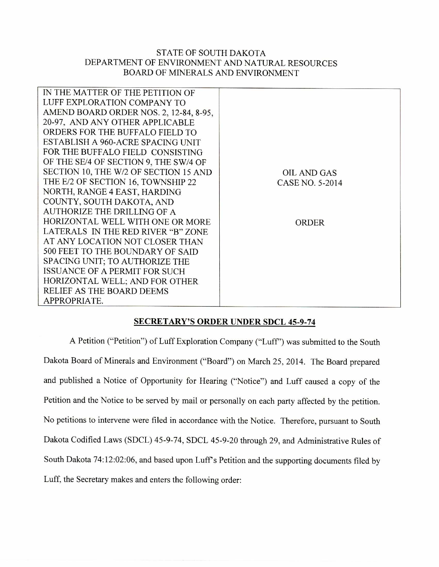## STATE OF SOUTH DAKOTA DEPARTMENT OF ENVIRONMENT AND NATURAL RESOURCES BOARD OF MINERALS AND ENVIRONMENT

| IN THE MATTER OF THE PETITION OF       |                    |
|----------------------------------------|--------------------|
| LUFF EXPLORATION COMPANY TO            |                    |
| AMEND BOARD ORDER NOS. 2, 12-84, 8-95, |                    |
| 20-97, AND ANY OTHER APPLICABLE        |                    |
| ORDERS FOR THE BUFFALO FIELD TO        |                    |
| ESTABLISH A 960-ACRE SPACING UNIT      |                    |
| FOR THE BUFFALO FIELD CONSISTING       |                    |
| OF THE SE/4 OF SECTION 9, THE SW/4 OF  |                    |
| SECTION 10, THE W/2 OF SECTION 15 AND  | <b>OIL AND GAS</b> |
| THE E/2 OF SECTION 16, TOWNSHIP 22     | CASE NO. 5-2014    |
| NORTH, RANGE 4 EAST, HARDING           |                    |
| COUNTY, SOUTH DAKOTA, AND              |                    |
| <b>AUTHORIZE THE DRILLING OF A</b>     |                    |
| HORIZONTAL WELL WITH ONE OR MORE       | ORDER              |
| LATERALS IN THE RED RIVER "B" ZONE     |                    |
| AT ANY LOCATION NOT CLOSER THAN        |                    |
| 500 FEET TO THE BOUNDARY OF SAID       |                    |
| SPACING UNIT; TO AUTHORIZE THE         |                    |
| <b>ISSUANCE OF A PERMIT FOR SUCH</b>   |                    |
| HORIZONTAL WELL; AND FOR OTHER         |                    |
| RELIEF AS THE BOARD DEEMS              |                    |
| APPROPRIATE.                           |                    |
|                                        |                    |

## **SECRETARY'S ORDER UNDER SDCL 45-9-74**

A Petition ("Petition") of Luff Exploration Company ("Luff') was submitted to the South Dakota Board of Minerals and Environment ("Board") on March 25, 2014. The Board prepared and published a Notice of Opportunity for Hearing ("Notice") and Luff caused a copy of the Petition and the Notice to be served by mail or personally on each party affected by the petition. No petitions to intervene were filed in accordance with the Notice. Therefore, pursuant to South Dakota Codified Laws (SDCL) 45-9-74, SDCL 45-9-20 through 29, and Administrative Rules of South Dakota 74:12:02:06, and based upon Luff's Petition and the supporting documents filed by Luff, the Secretary makes and enters the following order: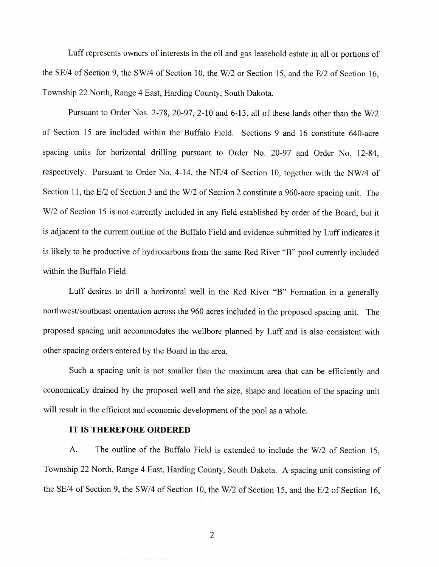**Luff represents owners of interests in the oil and gas leasehold** estate in all or portions of the SE/4 of Section 9, the SW/4 of Section 10, the W/2 or Section 15, and the E/2 of Section 16, **Township 22 North, Range 4 East, Harding County, South Dakota.** 

**Pursuant to Order Nos. 2-78, 20-97, 2-10 and 6-13, all of these lands other than the W/2**  of Section **15 are included within the** Buffalo **Field. Sections 9 and 16 constitute 640-acre**  spacing **units for horizontal drilling** pursuant **to Order No. 20-97 and Order No. 12-84, respectively. Pursuant to Order No. 4-14, the NE/4 of Section 10, together with the NW/4 of Section 11, the E/2 of Section 3 and the W/2 of Section 2 constitute a 960-acre spacing unit. The W/2 of Section 15 is not currently included in any field established by** order of the **Board, but it is adjacent** to the current outline of **the Buffalo Field and** evidence submitted by **Luff indicates it is likely** to be **productive** of hydrocarbons **from the same Red** River **"B"** pool **currently included within the Buffalo Field.** 

**Luff desires to drill a horizontal well in the Red River "B" Formation in a generally northwest/southeast orientation across the 960 acres included in the proposed spacing unit. The proposed spacing unit accommodates the wellbore planned by Luff and is also consistent with other spacing orders entered by the Board in the area.** 

**Such a spacing unit is not smaller than the maximum area that can be efficiently and economically drained by the proposed well and the size, shape and location of the spacing unit will result in the efficient and economic development of the pool as a whole.** 

## **IT IS THEREFORE ORDERED**

**A. The outline of the Buffalo Field** is extended **to include the W/2 of Section 15, Township 22 North, Range 4 East, Harding County, South Dakota. A spacing unit consisting of the SE/4 of Section 9, the SW/4 of Section 10, the W/2 of Section 15, and the E/2 of Section 16,**